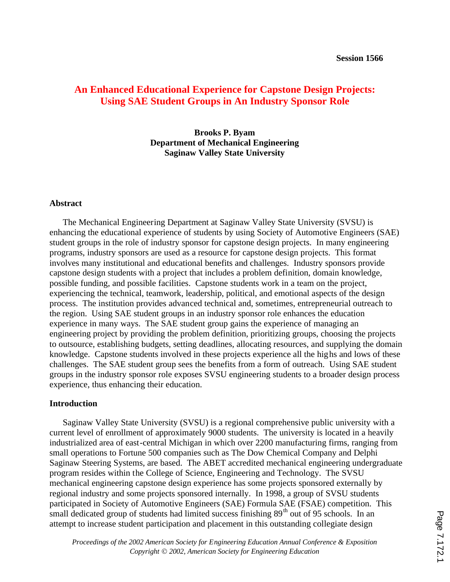# **An Enhanced Educational Experience for Capstone Design Projects: Using SAE Student Groups in An Industry Sponsor Role**

**Brooks P. Byam Department of Mechanical Engineering Saginaw Valley State University**

#### **Abstract**

The Mechanical Engineering Department at Saginaw Valley State University (SVSU) is enhancing the educational experience of students by using Society of Automotive Engineers (SAE) student groups in the role of industry sponsor for capstone design projects. In many engineering programs, industry sponsors are used as a resource for capstone design projects. This format involves many institutional and educational benefits and challenges. Industry sponsors provide capstone design students with a project that includes a problem definition, domain knowledge, possible funding, and possible facilities. Capstone students work in a team on the project, experiencing the technical, teamwork, leadership, political, and emotional aspects of the design process. The institution provides advanced technical and, sometimes, entrepreneurial outreach to the region. Using SAE student groups in an industry sponsor role enhances the education experience in many ways. The SAE student group gains the experience of managing an engineering project by providing the problem definition, prioritizing groups, choosing the projects to outsource, establishing budgets, setting deadlines, allocating resources, and supplying the domain knowledge. Capstone students involved in these projects experience all the highs and lows of these challenges. The SAE student group sees the benefits from a form of outreach. Using SAE student groups in the industry sponsor role exposes SVSU engineering students to a broader design process experience, thus enhancing their education.

### **Introduction**

Saginaw Valley State University (SVSU) is a regional comprehensive public university with a current level of enrollment of approximately 9000 students. The university is located in a heavily industrialized area of east-central Michigan in which over 2200 manufacturing firms, ranging from small operations to Fortune 500 companies such as The Dow Chemical Company and Delphi Saginaw Steering Systems, are based. The ABET accredited mechanical engineering undergraduate program resides within the College of Science, Engineering and Technology. The SVSU mechanical engineering capstone design experience has some projects sponsored externally by regional industry and some projects sponsored internally. In 1998, a group of SVSU students participated in Society of Automotive Engineers (SAE) Formula SAE (FSAE) competition. This small dedicated group of students had limited success finishing  $89<sup>th</sup>$  out of 95 schools. In an attempt to increase student participation and placement in this outstanding collegiate design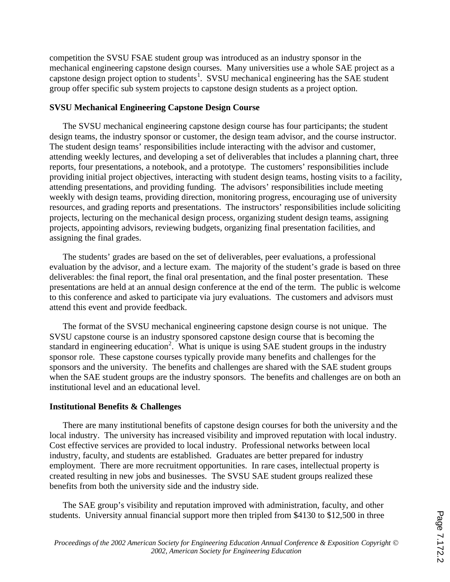competition the SVSU FSAE student group was introduced as an industry sponsor in the mechanical engineering capstone design courses. Many universities use a whole SAE project as a capstone design project option to students<sup>1</sup>. SVSU mechanical engineering has the SAE student group offer specific sub system projects to capstone design students as a project option.

## **SVSU Mechanical Engineering Capstone Design Course**

The SVSU mechanical engineering capstone design course has four participants; the student design teams, the industry sponsor or customer, the design team advisor, and the course instructor. The student design teams' responsibilities include interacting with the advisor and customer, attending weekly lectures, and developing a set of deliverables that includes a planning chart, three reports, four presentations, a notebook, and a prototype. The customers' responsibilities include providing initial project objectives, interacting with student design teams, hosting visits to a facility, attending presentations, and providing funding. The advisors' responsibilities include meeting weekly with design teams, providing direction, monitoring progress, encouraging use of university resources, and grading reports and presentations. The instructors' responsibilities include soliciting projects, lecturing on the mechanical design process, organizing student design teams, assigning projects, appointing advisors, reviewing budgets, organizing final presentation facilities, and assigning the final grades.

The students' grades are based on the set of deliverables, peer evaluations, a professional evaluation by the advisor, and a lecture exam. The majority of the student's grade is based on three deliverables: the final report, the final oral presentation, and the final poster presentation. These presentations are held at an annual design conference at the end of the term. The public is welcome to this conference and asked to participate via jury evaluations. The customers and advisors must attend this event and provide feedback.

The format of the SVSU mechanical engineering capstone design course is not unique. The SVSU capstone course is an industry sponsored capstone design course that is becoming the standard in engineering education<sup>2</sup>. What is unique is using SAE student groups in the industry sponsor role. These capstone courses typically provide many benefits and challenges for the sponsors and the university. The benefits and challenges are shared with the SAE student groups when the SAE student groups are the industry sponsors. The benefits and challenges are on both an institutional level and an educational level.

# **Institutional Benefits & Challenges**

There are many institutional benefits of capstone design courses for both the university and the local industry. The university has increased visibility and improved reputation with local industry. Cost effective services are provided to local industry. Professional networks between local industry, faculty, and students are established. Graduates are better prepared for industry employment. There are more recruitment opportunities. In rare cases, intellectual property is created resulting in new jobs and businesses. The SVSU SAE student groups realized these benefits from both the university side and the industry side.

The SAE group's visibility and reputation improved with administration, faculty, and other students. University annual financial support more then tripled from \$4130 to \$12,500 in three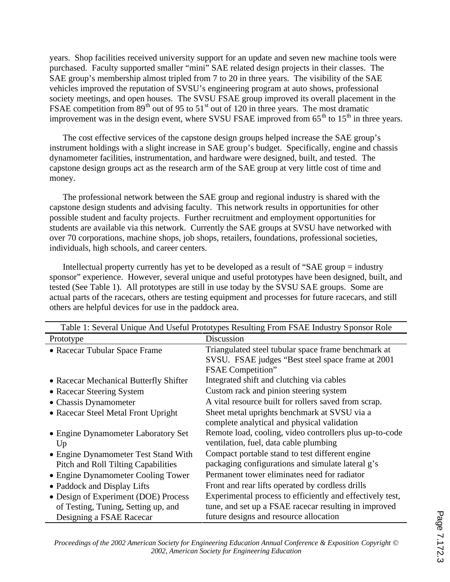years. Shop facilities received university support for an update and seven new machine tools were purchased. Faculty supported smaller "mini" SAE related design projects in their classes. The SAE group's membership almost tripled from 7 to 20 in three years. The visibility of the SAE vehicles improved the reputation of SVSU's engineering program at auto shows, professional society meetings, and open houses. The SVSU FSAE group improved its overall placement in the FSAE competition from  $89<sup>th</sup>$  out of 95 to 51<sup>st</sup> out of 120 in three years. The most dramatic improvement was in the design event, where SVSU FSAE improved from  $65<sup>th</sup>$  to  $15<sup>th</sup>$  in three years.

The cost effective services of the capstone design groups helped increase the SAE group's instrument holdings with a slight increase in SAE group's budget. Specifically, engine and chassis dynamometer facilities, instrumentation, and hardware were designed, built, and tested. The capstone design groups act as the research arm of the SAE group at very little cost of time and money.

The professional network between the SAE group and regional industry is shared with the capstone design students and advising faculty. This network results in opportunities for other possible student and faculty projects. Further recruitment and employment opportunities for students are available via this network. Currently the SAE groups at SVSU have networked with over 70 corporations, machine shops, job shops, retailers, foundations, professional societies, individuals, high schools, and career centers.

Intellectual property currently has yet to be developed as a result of "SAE group = industry sponsor" experience. However, several unique and useful prototypes have been designed, built, and tested (See Table 1). All prototypes are still in use today by the SVSU SAE groups. Some are actual parts of the racecars, others are testing equipment and processes for future racecars, and still others are helpful devices for use in the paddock area.

| Table 1: Several Unique And Useful Prototypes Resulting From FSAE Industry Sponsor Role |                                                           |
|-----------------------------------------------------------------------------------------|-----------------------------------------------------------|
| Prototype                                                                               | Discussion                                                |
| • Racecar Tubular Space Frame                                                           | Triangulated steel tubular space frame benchmark at       |
|                                                                                         | SVSU. FSAE judges "Best steel space frame at 2001         |
|                                                                                         | <b>FSAE</b> Competition"                                  |
| • Racecar Mechanical Butterfly Shifter                                                  | Integrated shift and clutching via cables                 |
| • Racecar Steering System                                                               | Custom rack and pinion steering system                    |
| • Chassis Dynamometer                                                                   | A vital resource built for rollers saved from scrap.      |
| • Racecar Steel Metal Front Upright                                                     | Sheet metal uprights benchmark at SVSU via a              |
|                                                                                         | complete analytical and physical validation               |
| • Engine Dynamometer Laboratory Set                                                     | Remote load, cooling, video controllers plus up-to-code   |
| Up                                                                                      | ventilation, fuel, data cable plumbing                    |
| • Engine Dynamometer Test Stand With                                                    | Compact portable stand to test different engine           |
| <b>Pitch and Roll Tilting Capabilities</b>                                              | packaging configurations and simulate lateral g's         |
| • Engine Dynamometer Cooling Tower                                                      | Permanent tower eliminates need for radiator              |
| • Paddock and Display Lifts                                                             | Front and rear lifts operated by cordless drills          |
| • Design of Experiment (DOE) Process                                                    | Experimental process to efficiently and effectively test, |
| of Testing, Tuning, Setting up, and                                                     | tune, and set up a FSAE racecar resulting in improved     |
| Designing a FSAE Racecar                                                                | future designs and resource allocation                    |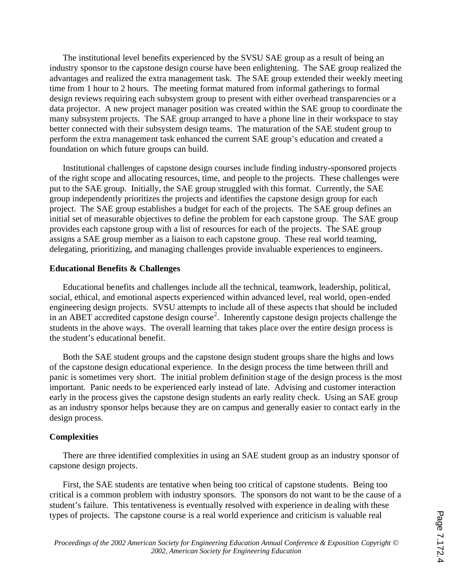The institutional level benefits experienced by the SVSU SAE group as a result of being an industry sponsor to the capstone design course have been enlightening. The SAE group realized the advantages and realized the extra management task. The SAE group extended their weekly meeting time from 1 hour to 2 hours. The meeting format matured from informal gatherings to formal design reviews requiring each subsystem group to present with either overhead transparencies or a data projector. A new project manager position was created within the SAE group to coordinate the many subsystem projects. The SAE group arranged to have a phone line in their workspace to stay better connected with their subsystem design teams. The maturation of the SAE student group to perform the extra management task enhanced the current SAE group's education and created a foundation on which future groups can build.

Institutional challenges of capstone design courses include finding industry-sponsored projects of the right scope and allocating resources, time, and people to the projects. These challenges were put to the SAE group. Initially, the SAE group struggled with this format. Currently, the SAE group independently prioritizes the projects and identifies the capstone design group for each project. The SAE group establishes a budget for each of the projects. The SAE group defines an initial set of measurable objectives to define the problem for each capstone group. The SAE group provides each capstone group with a list of resources for each of the projects. The SAE group assigns a SAE group member as a liaison to each capstone group. These real world teaming, delegating, prioritizing, and managing challenges provide invaluable experiences to engineers.

### **Educational Benefits & Challenges**

Educational benefits and challenges include all the technical, teamwork, leadership, political, social, ethical, and emotional aspects experienced within advanced level, real world, open-ended engineering design projects. SVSU attempts to include all of these aspects that should be included in an ABET accredited capstone design course<sup>2</sup>. Inherently capstone design projects challenge the students in the above ways. The overall learning that takes place over the entire design process is the student's educational benefit.

Both the SAE student groups and the capstone design student groups share the highs and lows of the capstone design educational experience. In the design process the time between thrill and panic is sometimes very short. The initial problem definition stage of the design process is the most important. Panic needs to be experienced early instead of late. Advising and customer interaction early in the process gives the capstone design students an early reality check. Using an SAE group as an industry sponsor helps because they are on campus and generally easier to contact early in the design process.

### **Complexities**

There are three identified complexities in using an SAE student group as an industry sponsor of capstone design projects.

First, the SAE students are tentative when being too critical of capstone students. Being too critical is a common problem with industry sponsors. The sponsors do not want to be the cause of a student's failure. This tentativeness is eventually resolved with experience in dealing with these types of projects. The capstone course is a real world experience and criticism is valuable real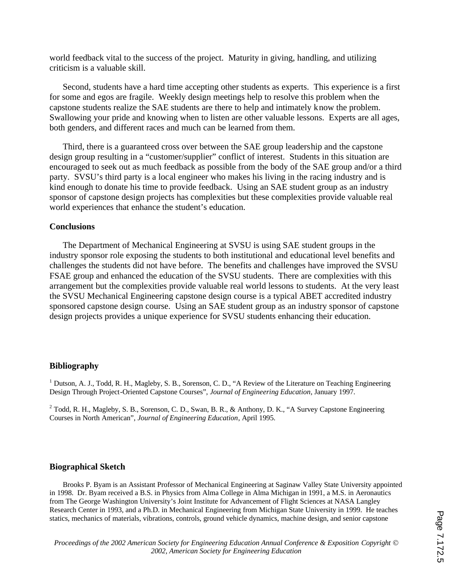world feedback vital to the success of the project. Maturity in giving, handling, and utilizing criticism is a valuable skill.

Second, students have a hard time accepting other students as experts. This experience is a first for some and egos are fragile. Weekly design meetings help to resolve this problem when the capstone students realize the SAE students are there to help and intimately know the problem. Swallowing your pride and knowing when to listen are other valuable lessons. Experts are all ages, both genders, and different races and much can be learned from them.

Third, there is a guaranteed cross over between the SAE group leadership and the capstone design group resulting in a "customer/supplier" conflict of interest. Students in this situation are encouraged to seek out as much feedback as possible from the body of the SAE group and/or a third party. SVSU's third party is a local engineer who makes his living in the racing industry and is kind enough to donate his time to provide feedback. Using an SAE student group as an industry sponsor of capstone design projects has complexities but these complexities provide valuable real world experiences that enhance the student's education.

### **Conclusions**

The Department of Mechanical Engineering at SVSU is using SAE student groups in the industry sponsor role exposing the students to both institutional and educational level benefits and challenges the students did not have before. The benefits and challenges have improved the SVSU FSAE group and enhanced the education of the SVSU students. There are complexities with this arrangement but the complexities provide valuable real world lessons to students. At the very least the SVSU Mechanical Engineering capstone design course is a typical ABET accredited industry sponsored capstone design course. Using an SAE student group as an industry sponsor of capstone design projects provides a unique experience for SVSU students enhancing their education.

### **Bibliography**

<sup>1</sup> Dutson, A. J., Todd, R. H., Magleby, S. B., Sorenson, C. D., "A Review of the Literature on Teaching Engineering Design Through Project-Oriented Capstone Courses", *Journal of Engineering Education*, January 1997.

 $2$  Todd, R. H., Magleby, S. B., Sorenson, C. D., Swan, B. R., & Anthony, D. K., "A Survey Capstone Engineering Courses in North American", *Journal of Engineering Education*, April 1995.

### **Biographical Sketch**

Brooks P. Byam is an Assistant Professor of Mechanical Engineering at Saginaw Valley State University appointed in 1998. Dr. Byam received a B.S. in Physics from Alma College in Alma Michigan in 1991, a M.S. in Aeronautics from The George Washington University's Joint Institute for Advancement of Flight Sciences at NASA Langley Research Center in 1993, and a Ph.D. in Mechanical Engineering from Michigan State University in 1999. He teaches statics, mechanics of materials, vibrations, controls, ground vehicle dynamics, machine design, and senior capstone